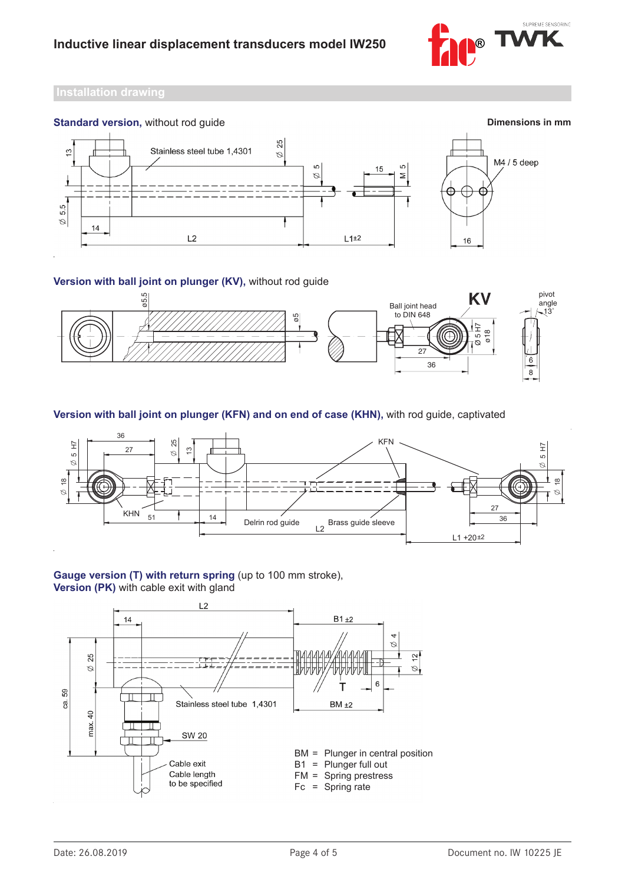



## **Version with ball joint on plunger (KV),** without rod guide



**Version with ball joint on plunger (KFN) and on end of case (KHN),** with rod guide, captivated



## **Gauge version (T) with return spring** (up to 100 mm stroke), **Version (PK)** with cable exit with gland